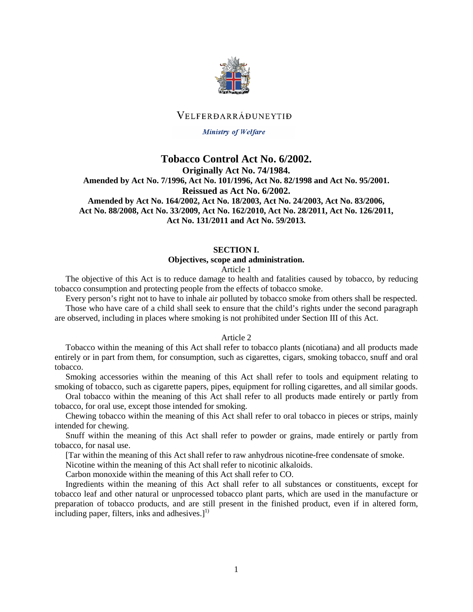

# VELFERDARRÁÐUNEYTIÐ

### Ministry of Welfare

# **Tobacco Control Act No. 6/2002. Originally Act No. 74/1984. Amended by Act No. 7/1996, Act No. 101/1996, Act No. 82/1998 and Act No. 95/2001. Reissued as Act No. 6/2002. Amended by Act No. 164/2002, Act No. 18/2003, Act No. 24/2003, Act No. 83/2006, Act No. 88/2008, Act No. 33/2009, Act No. 162/2010, Act No. 28/2011, Act No. 126/2011, Act No. 131/2011 and Act No. 59/2013.**

### **SECTION I.**

#### **Objectives, scope and administration.**

#### Article 1

The objective of this Act is to reduce damage to health and fatalities caused by tobacco, by reducing tobacco consumption and protecting people from the effects of tobacco smoke.

Every person's right not to have to inhale air polluted by tobacco smoke from others shall be respected.

Those who have care of a child shall seek to ensure that the child's rights under the second paragraph are observed, including in places where smoking is not prohibited under Section III of this Act.

#### Article 2

Tobacco within the meaning of this Act shall refer to tobacco plants (nicotiana) and all products made entirely or in part from them, for consumption, such as cigarettes, cigars, smoking tobacco, snuff and oral tobacco.

Smoking accessories within the meaning of this Act shall refer to tools and equipment relating to smoking of tobacco, such as cigarette papers, pipes, equipment for rolling cigarettes, and all similar goods.

Oral tobacco within the meaning of this Act shall refer to all products made entirely or partly from tobacco, for oral use, except those intended for smoking.

Chewing tobacco within the meaning of this Act shall refer to oral tobacco in pieces or strips, mainly intended for chewing.

Snuff within the meaning of this Act shall refer to powder or grains, made entirely or partly from tobacco, for nasal use.

[Tar within the meaning of this Act shall refer to raw anhydrous nicotine-free condensate of smoke.

Nicotine within the meaning of this Act shall refer to nicotinic alkaloids.

Carbon monoxide within the meaning of this Act shall refer to CO.

Ingredients within the meaning of this Act shall refer to all substances or constituents, except for tobacco leaf and other natural or unprocessed tobacco plant parts, which are used in the manufacture or preparation of tobacco products, and are still present in the finished product, even if in altered form, including paper, filters, inks and adhesives. $]^{1}$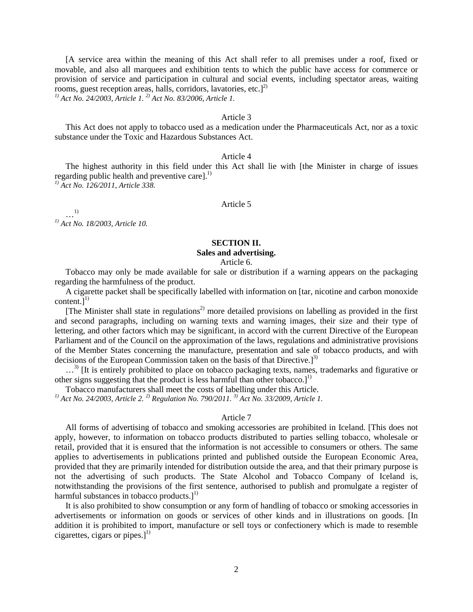[A service area within the meaning of this Act shall refer to all premises under a roof, fixed or movable, and also all marquees and exhibition tents to which the public have access for commerce or provision of service and participation in cultural and social events, including spectator areas, waiting rooms, guest reception areas, halls, corridors, lavatories, etc. $]^{2)}$ 

*1) Act No. 24/2003, Article 1. 2) Act No. 83/2006, Article 1.*

## Article 3

This Act does not apply to tobacco used as a medication under the Pharmaceuticals Act, nor as a toxic substance under the Toxic and Hazardous Substances Act.

## Article 4

The highest authority in this field under this Act shall lie with [the Minister in charge of issues regarding public health and preventive care].<sup>1)</sup>

*1) Act No. 126/2011, Article 338.*

## Article 5

…1) *1) Act No. 18/2003, Article 10.*

## **SECTION II.**

## **Sales and advertising.**

Article 6.

Tobacco may only be made available for sale or distribution if a warning appears on the packaging regarding the harmfulness of the product.

A cigarette packet shall be specifically labelled with information on [tar, nicotine and carbon monoxide content.] $^{1)}$ 

[The Minister shall state in regulations<sup>2)</sup> more detailed provisions on labelling as provided in the first and second paragraphs, including on warning texts and warning images, their size and their type of lettering, and other factors which may be significant, in accord with the current Directive of the European Parliament and of the Council on the approximation of the laws, regulations and administrative provisions of the Member States concerning the manufacture, presentation and sale of tobacco products, and with decisions of the European Commission taken on the basis of that Directive.<sup>[3]</sup>

...<sup>3)</sup> IIt is entirely prohibited to place on tobacco packaging texts, names, trademarks and figurative or other signs suggesting that the product is less harmful than other tobacco. $l^{1}$ 

Tobacco manufacturers shall meet the costs of labelling under this Article.

*1) Act No. 24/2003, Article 2. 2) Regulation No. 790/2011. 3) Act No. 33/2009, Article 1.*

### Article 7

All forms of advertising of tobacco and smoking accessories are prohibited in Iceland. [This does not apply, however, to information on tobacco products distributed to parties selling tobacco, wholesale or retail, provided that it is ensured that the information is not accessible to consumers or others. The same applies to advertisements in publications printed and published outside the European Economic Area, provided that they are primarily intended for distribution outside the area, and that their primary purpose is not the advertising of such products. The State Alcohol and Tobacco Company of Iceland is, notwithstanding the provisions of the first sentence, authorised to publish and promulgate a register of harmful substances in tobacco products. $]^{1}$ 

It is also prohibited to show consumption or any form of handling of tobacco or smoking accessories in advertisements or information on goods or services of other kinds and in illustrations on goods. [In addition it is prohibited to import, manufacture or sell toys or confectionery which is made to resemble cigarettes, cigars or pipes. $]^{1}$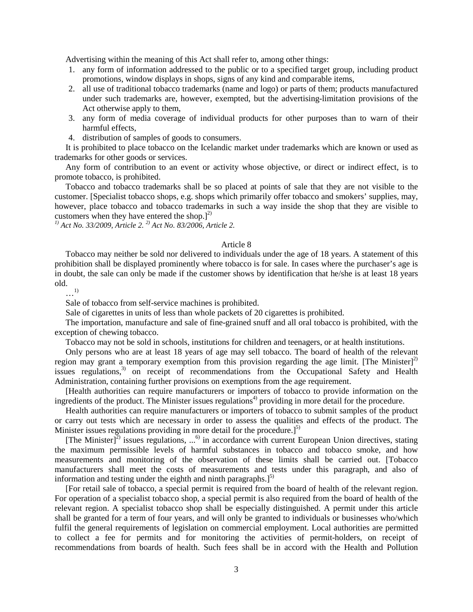Advertising within the meaning of this Act shall refer to, among other things:

- 1. any form of information addressed to the public or to a specified target group, including product promotions, window displays in shops, signs of any kind and comparable items,
- 2. all use of traditional tobacco trademarks (name and logo) or parts of them; products manufactured under such trademarks are, however, exempted, but the advertising-limitation provisions of the Act otherwise apply to them,
- 3. any form of media coverage of individual products for other purposes than to warn of their harmful effects,
- 4. distribution of samples of goods to consumers.

It is prohibited to place tobacco on the Icelandic market under trademarks which are known or used as trademarks for other goods or services.

Any form of contribution to an event or activity whose objective, or direct or indirect effect, is to promote tobacco, is prohibited.

Tobacco and tobacco trademarks shall be so placed at points of sale that they are not visible to the customer. [Specialist tobacco shops, e.g. shops which primarily offer tobacco and smokers' supplies, may, however, place tobacco and tobacco trademarks in such a way inside the shop that they are visible to customers when they have entered the shop.] $^{2)}$ 

*1) Act No. 33/2009, Article 2. 2) Act No. 83/2006, Article 2.*

## Article 8

Tobacco may neither be sold nor delivered to individuals under the age of 18 years. A statement of this prohibition shall be displayed prominently where tobacco is for sale. In cases where the purchaser's age is in doubt, the sale can only be made if the customer shows by identification that he/she is at least 18 years old.

…1)

Sale of tobacco from self-service machines is prohibited.

Sale of cigarettes in units of less than whole packets of 20 cigarettes is prohibited.

The importation, manufacture and sale of fine-grained snuff and all oral tobacco is prohibited, with the exception of chewing tobacco.

Tobacco may not be sold in schools, institutions for children and teenagers, or at health institutions.

Only persons who are at least 18 years of age may sell tobacco. The board of health of the relevant region may grant a temporary exemption from this provision regarding the age limit. [The Minister] $^{2)}$ issues regulations,<sup>3)</sup> on receipt of recommendations from the Occupational Safety and Health Administration, containing further provisions on exemptions from the age requirement.

[Health authorities can require manufacturers or importers of tobacco to provide information on the ingredients of the product. The Minister issues regulations<sup>4)</sup> providing in more detail for the procedure.

Health authorities can require manufacturers or importers of tobacco to submit samples of the product or carry out tests which are necessary in order to assess the qualities and effects of the product. The Minister issues regulations providing in more detail for the procedure. $1^{5}$ 

[The Minister]<sup>2)</sup> issues regulations, ...<sup>6)</sup> in accordance with current European Union directives, stating the maximum permissible levels of harmful substances in tobacco and tobacco smoke, and how measurements and monitoring of the observation of these limits shall be carried out. [Tobacco manufacturers shall meet the costs of measurements and tests under this paragraph, and also of information and testing under the eighth and ninth paragraphs. $1^{5}$ 

[For retail sale of tobacco, a special permit is required from the board of health of the relevant region. For operation of a specialist tobacco shop, a special permit is also required from the board of health of the relevant region. A specialist tobacco shop shall be especially distinguished. A permit under this article shall be granted for a term of four years, and will only be granted to individuals or businesses who/which fulfil the general requirements of legislation on commercial employment. Local authorities are permitted to collect a fee for permits and for monitoring the activities of permit-holders, on receipt of recommendations from boards of health. Such fees shall be in accord with the Health and Pollution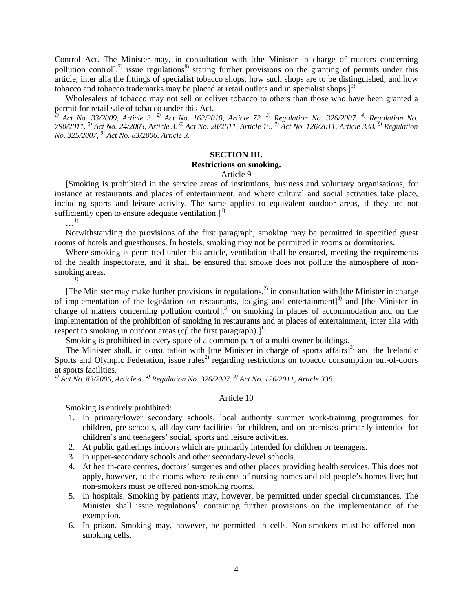Control Act. The Minister may, in consultation with [the Minister in charge of matters concerning pollution control], $\frac{7}{1}$  issue regulations<sup>8)</sup> stating further provisions on the granting of permits under this article, inter alia the fittings of specialist tobacco shops, how such shops are to be distinguished, and how tobacco and tobacco trademarks may be placed at retail outlets and in specialist shops.] $^{9}$ 

Wholesalers of tobacco may not sell or deliver tobacco to others than those who have been granted a permit for retail sale of tobacco under this Act.

*1) Act No. 33/2009, Article 3. 2) Act No. 162/2010, Article 72. 3) Regulation No. 326/2007. 4) Regulation No. 790/2011. 5) Act No. 24/2003, Article 3. 6) Act No. 28/2011, Article 15. 7) Act No. 126/2011, Article 338. 8) Regulation No. 325/2007, 9) Act No. 83/2006, Article 3.*

#### **SECTION III.**

## **Restrictions on smoking.**

#### Article 9

[Smoking is prohibited in the service areas of institutions, business and voluntary organisations, for instance at restaurants and places of entertainment, and where cultural and social activities take place, including sports and leisure activity. The same applies to equivalent outdoor areas, if they are not sufficiently open to ensure adequate ventilation. $]^{1)}$ 

…1)

Notwithstanding the provisions of the first paragraph, smoking may be permitted in specified guest rooms of hotels and guesthouses. In hostels, smoking may not be permitted in rooms or dormitories.

Where smoking is permitted under this article, ventilation shall be ensured, meeting the requirements of the health inspectorate, and it shall be ensured that smoke does not pollute the atmosphere of nonsmoking areas.

 $\ldots$ <sup>1)</sup>

[The Minister may make further provisions in regulations,<sup>2)</sup> in consultation with [the Minister in charge of implementation of the legislation on restaurants, lodging and entertainment]<sup>3)</sup> and [the Minister in charge of matters concerning pollution controll,<sup>3)</sup> on smoking in places of accommodation and on the implementation of the prohibition of smoking in restaurants and at places of entertainment, inter alia with respect to smoking in outdoor areas (*cf.* the first paragraph).]<sup>1)</sup>

Smoking is prohibited in every space of a common part of a multi-owner buildings.

The Minister shall, in consultation with [the Minister in charge of sports affairs] $^{3)}$  and the Icelandic Sports and Olympic Federation, issue rules<sup>2)</sup> regarding restrictions on tobacco consumption out-of-doors at sports facilities.

*1) Act No. 83/2006, Article 4. 2) Regulation No. 326/2007. 3) Act No. 126/2011, Article 338.*

#### Article 10

Smoking is entirely prohibited:

- 1. In primary/lower secondary schools, local authority summer work-training programmes for children, pre-schools, all day-care facilities for children, and on premises primarily intended for children's and teenagers' social, sports and leisure activities.
- 2. At public gatherings indoors which are primarily intended for children or teenagers.
- 3. In upper-secondary schools and other secondary-level schools.
- 4. At health-care centres, doctors' surgeries and other places providing health services. This does not apply, however, to the rooms where residents of nursing homes and old people's homes live; but non-smokers must be offered non-smoking rooms.
- 5. In hospitals. Smoking by patients may, however, be permitted under special circumstances. The Minister shall issue regulations<sup>1)</sup> containing further provisions on the implementation of the exemption.
- 6. In prison. Smoking may, however, be permitted in cells. Non-smokers must be offered nonsmoking cells.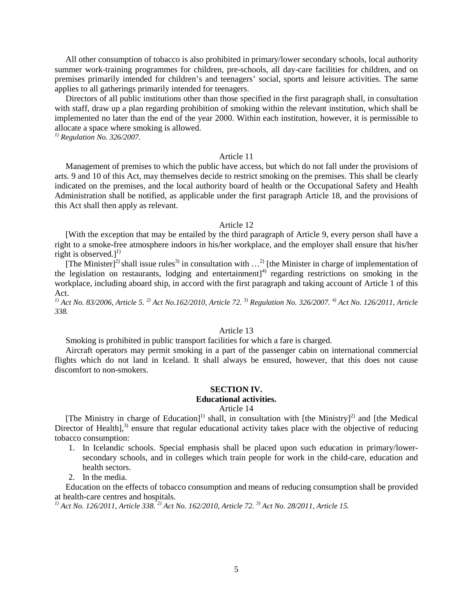All other consumption of tobacco is also prohibited in primary/lower secondary schools, local authority summer work-training programmes for children, pre-schools, all day-care facilities for children, and on premises primarily intended for children's and teenagers' social, sports and leisure activities. The same applies to all gatherings primarily intended for teenagers.

Directors of all public institutions other than those specified in the first paragraph shall, in consultation with staff, draw up a plan regarding prohibition of smoking within the relevant institution, which shall be implemented no later than the end of the year 2000. Within each institution, however, it is permissible to allocate a space where smoking is allowed.

*1) Regulation No. 326/2007.*

## Article 11

Management of premises to which the public have access, but which do not fall under the provisions of arts. 9 and 10 of this Act, may themselves decide to restrict smoking on the premises. This shall be clearly indicated on the premises, and the local authority board of health or the Occupational Safety and Health Administration shall be notified, as applicable under the first paragraph Article 18, and the provisions of this Act shall then apply as relevant.

## Article 12

[With the exception that may be entailed by the third paragraph of Article 9, every person shall have a right to a smoke-free atmosphere indoors in his/her workplace, and the employer shall ensure that his/her right is observed.]<sup>1)</sup>

[The Minister]<sup>2)</sup> shall issue rules<sup>3)</sup> in consultation with  $\ldots$ <sup>2</sup> [the Minister in charge of implementation of the legislation on restaurants, lodging and entertainment]<sup>4)</sup> regarding restrictions on smoking in the workplace, including aboard ship, in accord with the first paragraph and taking account of Article 1 of this Act.

*1) Act No. 83/2006, Article 5. 2) Act No.162/2010, Article 72. 3) Regulation No. 326/2007. 4) Act No. 126/2011, Article 338.*

## Article 13

Smoking is prohibited in public transport facilities for which a fare is charged.

Aircraft operators may permit smoking in a part of the passenger cabin on international commercial flights which do not land in Iceland. It shall always be ensured, however, that this does not cause discomfort to non-smokers.

#### **SECTION IV. Educational activities.**

Article 14

[The Ministry in charge of Education]<sup>1)</sup> shall, in consultation with [the Ministry]<sup>2)</sup> and [the Medical Director of Health],<sup>3)</sup> ensure that regular educational activity takes place with the objective of reducing tobacco consumption:

- 1. In Icelandic schools. Special emphasis shall be placed upon such education in primary/lowersecondary schools, and in colleges which train people for work in the child-care, education and health sectors.
- 2. In the media.

Education on the effects of tobacco consumption and means of reducing consumption shall be provided at health-care centres and hospitals.

*1) Act No. 126/2011, Article 338. 2) Act No. 162/2010, Article 72. 3) Act No. 28/2011, Article 15.*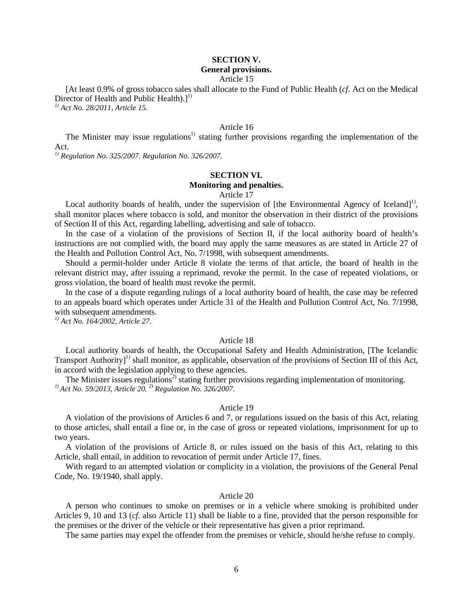### **SECTION V. General provisions.**

#### Article 15

[At least 0.9% of gross tobacco sales shall allocate to the Fund of Public Health (*cf.* Act on the Medical Director of Health and Public Health). $]^{1}$ 

*1) Act No. 28/2011, Article 15.*

# Article 16

The Minister may issue regulations<sup>1)</sup> stating further provisions regarding the implementation of the Act.

*1) Regulation No. 325/2007. Regulation No. 326/2007.*

## **SECTION VI. Monitoring and penalties.**

## Article 17

Local authority boards of health, under the supervision of [the Environmental Agency of Iceland]<sup>1)</sup>, shall monitor places where tobacco is sold, and monitor the observation in their district of the provisions of Section II of this Act, regarding labelling, advertising and sale of tobacco.

In the case of a violation of the provisions of Section II, if the local authority board of health's instructions are not complied with, the board may apply the same measures as are stated in Article 27 of the Health and Pollution Control Act, No. 7/1998, with subsequent amendments.

Should a permit-holder under Article 8 violate the terms of that article, the board of health in the relevant district may, after issuing a reprimand, revoke the permit. In the case of repeated violations, or gross violation, the board of health must revoke the permit.

In the case of a dispute regarding rulings of a local authority board of health, the case may be referred to an appeals board which operates under Article 31 of the Health and Pollution Control Act, No. 7/1998, with subsequent amendments.

*1) Act No. 164/2002, Article 27.*

## Article 18

Local authority boards of health, the Occupational Safety and Health Administration, [The Icelandic Transport Authority<sup>[1]</sup> shall monitor, as applicable, observation of the provisions of Section III of this Act, in accord with the legislation applying to these agencies.

The Minister issues regulations<sup>2)</sup> stating further provisions regarding implementation of monitoring. *1) Act No. 59/2013, Article 20. 2) Regulation No. 326/2007.*

### Article 19

A violation of the provisions of Articles 6 and 7, or regulations issued on the basis of this Act, relating to those articles, shall entail a fine or, in the case of gross or repeated violations, imprisonment for up to two years.

A violation of the provisions of Article 8, or rules issued on the basis of this Act, relating to this Article, shall entail, in addition to revocation of permit under Article 17, fines.

With regard to an attempted violation or complicity in a violation, the provisions of the General Penal Code, No. 19/1940, shall apply.

#### Article 20

A person who continues to smoke on premises or in a vehicle where smoking is prohibited under Articles 9, 10 and 13 (*cf.* also Article 11) shall be liable to a fine, provided that the person responsible for the premises or the driver of the vehicle or their representative has given a prior reprimand.

The same parties may expel the offender from the premises or vehicle, should he/she refuse to comply.